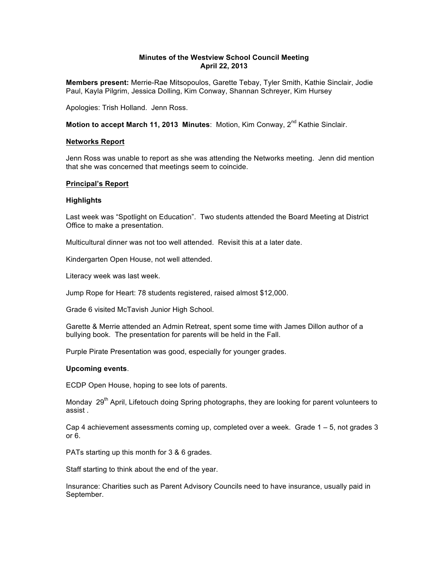# **Minutes of the Westview School Council Meeting April 22, 2013**

**Members present:** Merrie-Rae Mitsopoulos, Garette Tebay, Tyler Smith, Kathie Sinclair, Jodie Paul, Kayla Pilgrim, Jessica Dolling, Kim Conway, Shannan Schreyer, Kim Hursey

Apologies: Trish Holland. Jenn Ross.

**Motion to accept March 11, 2013 Minutes: Motion, Kim Conway, 2<sup>nd</sup> Kathie Sinclair.** 

### **Networks Report**

Jenn Ross was unable to report as she was attending the Networks meeting. Jenn did mention that she was concerned that meetings seem to coincide.

### **Principal's Report**

### **Highlights**

Last week was "Spotlight on Education". Two students attended the Board Meeting at District Office to make a presentation.

Multicultural dinner was not too well attended. Revisit this at a later date.

Kindergarten Open House, not well attended.

Literacy week was last week.

Jump Rope for Heart: 78 students registered, raised almost \$12,000.

Grade 6 visited McTavish Junior High School.

Garette & Merrie attended an Admin Retreat, spent some time with James Dillon author of a bullying book. The presentation for parents will be held in the Fall.

Purple Pirate Presentation was good, especially for younger grades.

#### **Upcoming events**.

ECDP Open House, hoping to see lots of parents.

Monday 29<sup>th</sup> April, Lifetouch doing Spring photographs, they are looking for parent volunteers to assist .

Cap 4 achievement assessments coming up, completed over a week. Grade 1 – 5, not grades 3 or 6.

PATs starting up this month for 3 & 6 grades.

Staff starting to think about the end of the year.

Insurance: Charities such as Parent Advisory Councils need to have insurance, usually paid in September.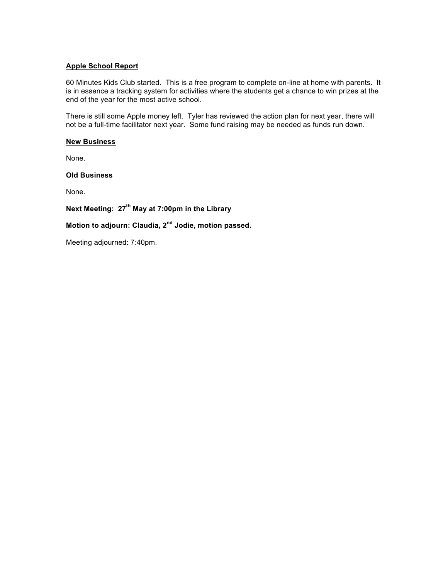# **Apple School Report**

60 Minutes Kids Club started. This is a free program to complete on-line at home with parents. It is in essence a tracking system for activities where the students get a chance to win prizes at the end of the year for the most active school.

There is still some Apple money left. Tyler has reviewed the action plan for next year, there will not be a full-time facilitator next year. Some fund raising may be needed as funds run down.

### **New Business**

None.

### **Old Business**

None.

# **Next Meeting: 27th May at 7:00pm in the Library**

# **Motion to adjourn: Claudia, 2nd Jodie, motion passed.**

Meeting adjourned: 7:40pm.